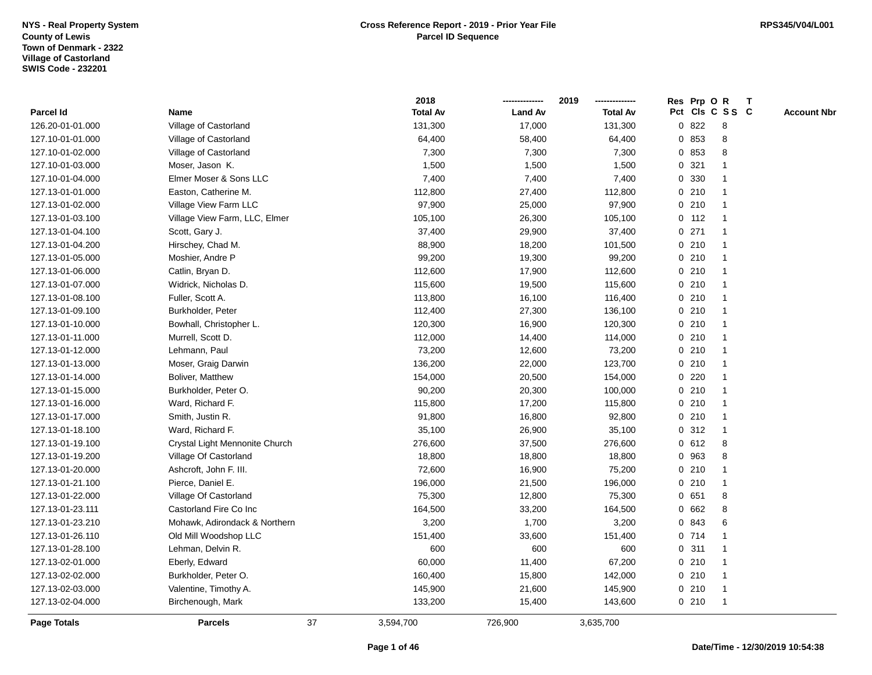|                    |                                |    | 2018            |                | 2019            |   | Res Prp O R |                 | Т |                    |
|--------------------|--------------------------------|----|-----------------|----------------|-----------------|---|-------------|-----------------|---|--------------------|
| <b>Parcel Id</b>   | Name                           |    | <b>Total Av</b> | <b>Land Av</b> | <b>Total Av</b> |   |             | Pct Cls C S S C |   | <b>Account Nbr</b> |
| 126.20-01-01.000   | Village of Castorland          |    | 131,300         | 17,000         | 131,300         |   | 0 822       | 8               |   |                    |
| 127.10-01-01.000   | Village of Castorland          |    | 64,400          | 58,400         | 64,400          |   | 0 853       | 8               |   |                    |
| 127.10-01-02.000   | Village of Castorland          |    | 7,300           | 7,300          | 7,300           |   | 0 853       | 8               |   |                    |
| 127.10-01-03.000   | Moser, Jason K.                |    | 1,500           | 1,500          | 1,500           |   | 0.321       |                 |   |                    |
| 127.10-01-04.000   | Elmer Moser & Sons LLC         |    | 7,400           | 7,400          | 7,400           |   | 0 330       |                 |   |                    |
| 127.13-01-01.000   | Easton, Catherine M.           |    | 112,800         | 27,400         | 112,800         |   | 0210        |                 |   |                    |
| 127.13-01-02.000   | Village View Farm LLC          |    | 97,900          | 25,000         | 97,900          |   | 0210        | -1              |   |                    |
| 127.13-01-03.100   | Village View Farm, LLC, Elmer  |    | 105,100         | 26,300         | 105,100         |   | 0.112       | $\overline{1}$  |   |                    |
| 127.13-01-04.100   | Scott, Gary J.                 |    | 37,400          | 29,900         | 37,400          |   | 0.271       | $\overline{1}$  |   |                    |
| 127.13-01-04.200   | Hirschey, Chad M.              |    | 88,900          | 18,200         | 101,500         |   | 0210        | $\mathbf 1$     |   |                    |
| 127.13-01-05.000   | Moshier, Andre P               |    | 99,200          | 19,300         | 99,200          |   | 0210        | 1               |   |                    |
| 127.13-01-06.000   | Catlin, Bryan D.               |    | 112,600         | 17,900         | 112,600         |   | 0210        |                 |   |                    |
| 127.13-01-07.000   | Widrick, Nicholas D.           |    | 115,600         | 19,500         | 115,600         |   | 0210        |                 |   |                    |
| 127.13-01-08.100   | Fuller, Scott A.               |    | 113,800         | 16,100         | 116,400         |   | 0210        | 1               |   |                    |
| 127.13-01-09.100   | Burkholder, Peter              |    | 112,400         | 27,300         | 136,100         |   | 0210        | $\mathbf 1$     |   |                    |
| 127.13-01-10.000   | Bowhall, Christopher L.        |    | 120,300         | 16,900         | 120,300         |   | 0210        | $\mathbf 1$     |   |                    |
| 127.13-01-11.000   | Murrell, Scott D.              |    | 112,000         | 14,400         | 114,000         |   | 0210        | $\mathbf 1$     |   |                    |
| 127.13-01-12.000   | Lehmann, Paul                  |    | 73,200          | 12,600         | 73,200          |   | 0210        | 1               |   |                    |
| 127.13-01-13.000   | Moser, Graig Darwin            |    | 136,200         | 22,000         | 123,700         |   | 0210        |                 |   |                    |
| 127.13-01-14.000   | <b>Boliver, Matthew</b>        |    | 154,000         | 20,500         | 154,000         |   | 0.220       |                 |   |                    |
| 127.13-01-15.000   | Burkholder, Peter O.           |    | 90,200          | 20,300         | 100,000         |   | 0210        | $\mathbf 1$     |   |                    |
| 127.13-01-16.000   | Ward, Richard F.               |    | 115,800         | 17,200         | 115,800         |   | 0210        | $\overline{1}$  |   |                    |
| 127.13-01-17.000   | Smith, Justin R.               |    | 91,800          | 16,800         | 92,800          |   | 0210        | $\overline{1}$  |   |                    |
| 127.13-01-18.100   | Ward, Richard F.               |    | 35,100          | 26,900         | 35,100          |   | 0.312       | $\overline{1}$  |   |                    |
| 127.13-01-19.100   | Crystal Light Mennonite Church |    | 276,600         | 37,500         | 276,600         |   | 0 612       | 8               |   |                    |
| 127.13-01-19.200   | Village Of Castorland          |    | 18,800          | 18,800         | 18,800          |   | 0 963       | 8               |   |                    |
| 127.13-01-20.000   | Ashcroft, John F. III.         |    | 72,600          | 16,900         | 75,200          |   | 0210        |                 |   |                    |
| 127.13-01-21.100   | Pierce, Daniel E.              |    | 196,000         | 21,500         | 196,000         |   | 0210        |                 |   |                    |
| 127.13-01-22.000   | Village Of Castorland          |    | 75,300          | 12,800         | 75,300          |   | 0 651       | 8               |   |                    |
| 127.13-01-23.111   | Castorland Fire Co Inc         |    | 164,500         | 33,200         | 164,500         | 0 | 662         | 8               |   |                    |
| 127.13-01-23.210   | Mohawk, Adirondack & Northern  |    | 3,200           | 1,700          | 3,200           | 0 | 843         | 6               |   |                    |
| 127.13-01-26.110   | Old Mill Woodshop LLC          |    | 151,400         | 33,600         | 151,400         |   | 0714        | 1               |   |                    |
| 127.13-01-28.100   | Lehman, Delvin R.              |    | 600             | 600            | 600             |   | 0.311       | 1               |   |                    |
| 127.13-02-01.000   | Eberly, Edward                 |    | 60,000          | 11,400         | 67,200          |   | 0210        | -1              |   |                    |
| 127.13-02-02.000   | Burkholder, Peter O.           |    | 160,400         | 15,800         | 142,000         |   | 0210        |                 |   |                    |
| 127.13-02-03.000   | Valentine, Timothy A.          |    | 145,900         | 21,600         | 145,900         |   | 0210        | $\overline{1}$  |   |                    |
| 127.13-02-04.000   | Birchenough, Mark              |    | 133,200         | 15,400         | 143,600         |   | 0210        | $\overline{1}$  |   |                    |
| <b>Page Totals</b> | <b>Parcels</b>                 | 37 | 3,594,700       | 726,900        | 3,635,700       |   |             |                 |   |                    |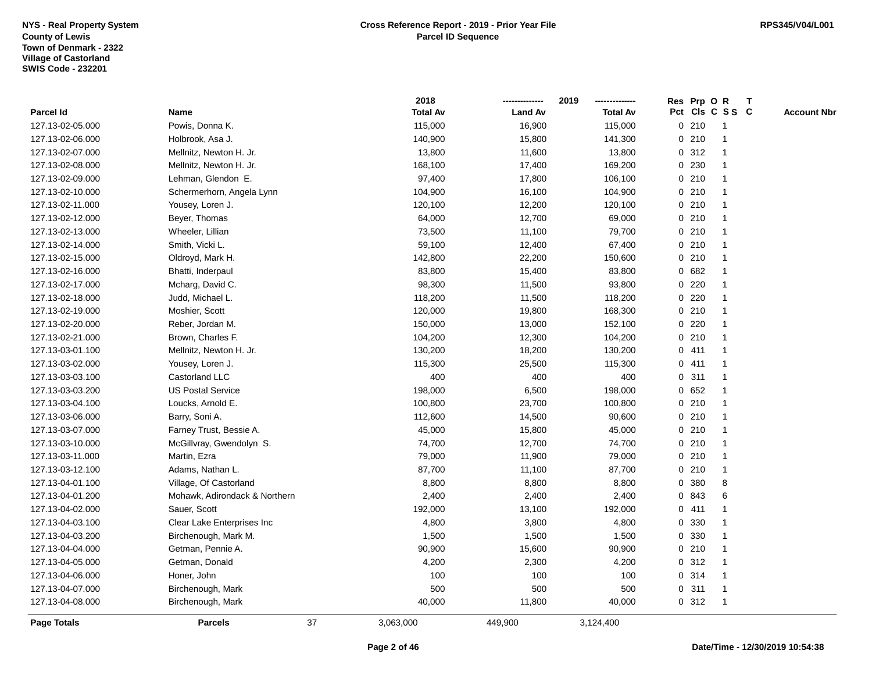|                  |                               |    | 2018            |                | 2019            |              | Res Prp O R |                 | Т |                    |
|------------------|-------------------------------|----|-----------------|----------------|-----------------|--------------|-------------|-----------------|---|--------------------|
| <b>Parcel Id</b> | Name                          |    | <b>Total Av</b> | <b>Land Av</b> | <b>Total Av</b> |              |             | Pct Cls C S S C |   | <b>Account Nbr</b> |
| 127.13-02-05.000 | Powis, Donna K.               |    | 115,000         | 16,900         | 115,000         |              | 0210        | -1              |   |                    |
| 127.13-02-06.000 | Holbrook, Asa J.              |    | 140,900         | 15,800         | 141,300         | $\mathbf{0}$ | 210         | $\overline{1}$  |   |                    |
| 127.13-02-07.000 | Mellnitz, Newton H. Jr.       |    | 13,800          | 11,600         | 13,800          |              | 0.312       | -1              |   |                    |
| 127.13-02-08.000 | Mellnitz, Newton H. Jr.       |    | 168,100         | 17,400         | 169,200         |              | 0 230       |                 |   |                    |
| 127.13-02-09.000 | Lehman, Glendon E.            |    | 97,400          | 17,800         | 106,100         |              | 0210        |                 |   |                    |
| 127.13-02-10.000 | Schermerhorn, Angela Lynn     |    | 104,900         | 16,100         | 104,900         |              | 0210        |                 |   |                    |
| 127.13-02-11.000 | Yousey, Loren J.              |    | 120,100         | 12,200         | 120,100         |              | 0210        |                 |   |                    |
| 127.13-02-12.000 | Beyer, Thomas                 |    | 64,000          | 12,700         | 69,000          |              | 0210        | $\mathbf 1$     |   |                    |
| 127.13-02-13.000 | Wheeler, Lillian              |    | 73,500          | 11,100         | 79,700          |              | 0210        | $\overline{1}$  |   |                    |
| 127.13-02-14.000 | Smith, Vicki L.               |    | 59,100          | 12,400         | 67,400          |              | 0210        | -1              |   |                    |
| 127.13-02-15.000 | Oldroyd, Mark H.              |    | 142,800         | 22,200         | 150,600         |              | 0210        |                 |   |                    |
| 127.13-02-16.000 | Bhatti, Inderpaul             |    | 83,800          | 15,400         | 83,800          |              | 0682        |                 |   |                    |
| 127.13-02-17.000 | Mcharg, David C.              |    | 98,300          | 11,500         | 93,800          | $\mathbf{0}$ | 220         |                 |   |                    |
| 127.13-02-18.000 | Judd, Michael L.              |    | 118,200         | 11,500         | 118,200         |              | $0$ 220     |                 |   |                    |
| 127.13-02-19.000 | Moshier, Scott                |    | 120,000         | 19,800         | 168,300         | $\mathbf 0$  | 210         | -1              |   |                    |
| 127.13-02-20.000 | Reber, Jordan M.              |    | 150,000         | 13,000         | 152,100         | $\mathbf 0$  | 220         | -1              |   |                    |
| 127.13-02-21.000 | Brown, Charles F.             |    | 104,200         | 12,300         | 104,200         |              | 0210        | $\mathbf 1$     |   |                    |
| 127.13-03-01.100 | Mellnitz, Newton H. Jr.       |    | 130,200         | 18,200         | 130,200         |              | 0411        |                 |   |                    |
| 127.13-03-02.000 | Yousey, Loren J.              |    | 115,300         | 25,500         | 115,300         |              | 0411        |                 |   |                    |
| 127.13-03-03.100 | Castorland LLC                |    | 400             | 400            | 400             |              | 0.311       |                 |   |                    |
| 127.13-03-03.200 | <b>US Postal Service</b>      |    | 198,000         | 6,500          | 198,000         |              | 0 652       |                 |   |                    |
| 127.13-03-04.100 | Loucks, Arnold E.             |    | 100,800         | 23,700         | 100,800         |              | 0210        | $\overline{1}$  |   |                    |
| 127.13-03-06.000 | Barry, Soni A.                |    | 112,600         | 14,500         | 90,600          |              | 0210        | $\overline{1}$  |   |                    |
| 127.13-03-07.000 | Farney Trust, Bessie A.       |    | 45,000          | 15,800         | 45,000          |              | 0210        | $\overline{1}$  |   |                    |
| 127.13-03-10.000 | McGillvray, Gwendolyn S.      |    | 74,700          | 12,700         | 74,700          |              | 0210        |                 |   |                    |
| 127.13-03-11.000 | Martin, Ezra                  |    | 79,000          | 11,900         | 79,000          |              | 0210        |                 |   |                    |
| 127.13-03-12.100 | Adams, Nathan L.              |    | 87,700          | 11,100         | 87,700          |              | 0210        |                 |   |                    |
| 127.13-04-01.100 | Village, Of Castorland        |    | 8,800           | 8,800          | 8,800           |              | 0 380       | 8               |   |                    |
| 127.13-04-01.200 | Mohawk, Adirondack & Northern |    | 2,400           | 2,400          | 2,400           | $\mathbf 0$  | 843         | 6               |   |                    |
| 127.13-04-02.000 | Sauer, Scott                  |    | 192,000         | 13,100         | 192,000         |              | 0411        | 1               |   |                    |
| 127.13-04-03.100 | Clear Lake Enterprises Inc    |    | 4,800           | 3,800          | 4,800           | $\mathbf{0}$ | 330         | $\overline{1}$  |   |                    |
| 127.13-04-03.200 | Birchenough, Mark M.          |    | 1,500           | 1,500          | 1,500           |              | 0 330       | 1               |   |                    |
| 127.13-04-04.000 | Getman, Pennie A.             |    | 90,900          | 15,600         | 90,900          |              | 0210        |                 |   |                    |
| 127.13-04-05.000 | Getman, Donald                |    | 4,200           | 2,300          | 4,200           |              | 0.312       |                 |   |                    |
| 127.13-04-06.000 | Honer, John                   |    | 100             | 100            | 100             |              | 0 314       |                 |   |                    |
| 127.13-04-07.000 | Birchenough, Mark             |    | 500             | 500            | 500             | $\mathbf 0$  | 311         |                 |   |                    |
| 127.13-04-08.000 | Birchenough, Mark             |    | 40,000          | 11,800         | 40,000          |              | 0.312       | $\overline{1}$  |   |                    |
| Page Totals      | <b>Parcels</b>                | 37 | 3,063,000       | 449,900        | 3,124,400       |              |             |                 |   |                    |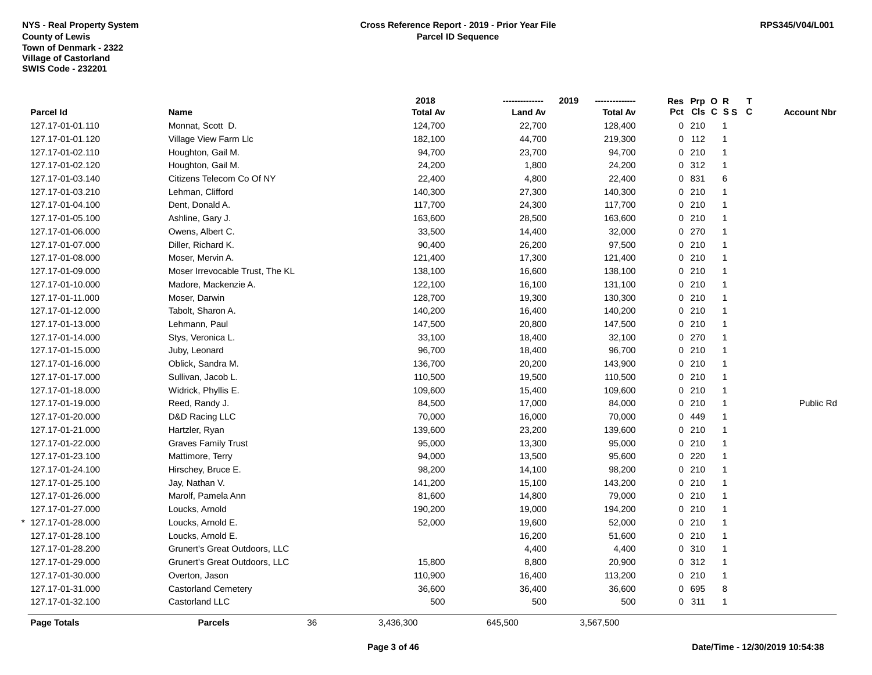|                        |                                 | 2018            |                | 2019            |         | Res Prp O R     | $\mathbf{T}$ |                    |
|------------------------|---------------------------------|-----------------|----------------|-----------------|---------|-----------------|--------------|--------------------|
| Parcel Id              | Name                            | <b>Total Av</b> | <b>Land Av</b> | <b>Total Av</b> |         | Pct Cls C S S C |              | <b>Account Nbr</b> |
| 127.17-01-01.110       | Monnat, Scott D.                | 124,700         | 22,700         | 128,400         | 0210    | $\overline{1}$  |              |                    |
| 127.17-01-01.120       | Village View Farm Llc           | 182,100         | 44,700         | 219,300         | $0$ 112 | $\overline{1}$  |              |                    |
| 127.17-01-02.110       | Houghton, Gail M.               | 94,700          | 23,700         | 94,700          | 0210    | 1               |              |                    |
| 127.17-01-02.120       | Houghton, Gail M.               | 24,200          | 1,800          | 24,200          | 0.312   | $\mathbf{1}$    |              |                    |
| 127.17-01-03.140       | Citizens Telecom Co Of NY       | 22,400          | 4,800          | 22,400          | 0 831   | $\,6$           |              |                    |
| 127.17-01-03.210       | Lehman, Clifford                | 140,300         | 27,300         | 140,300         | 0210    | $\mathbf{1}$    |              |                    |
| 127.17-01-04.100       | Dent, Donald A.                 | 117,700         | 24,300         | 117,700         | 0210    | $\overline{1}$  |              |                    |
| 127.17-01-05.100       | Ashline, Gary J.                | 163,600         | 28,500         | 163,600         | 0210    | $\mathbf{1}$    |              |                    |
| 127.17-01-06.000       | Owens, Albert C.                | 33,500          | 14,400         | 32,000          | 0270    | $\mathbf{1}$    |              |                    |
| 127.17-01-07.000       | Diller, Richard K.              | 90,400          | 26,200         | 97,500          | 0210    | $\mathbf{1}$    |              |                    |
| 127.17-01-08.000       | Moser, Mervin A.                | 121,400         | 17,300         | 121,400         | 0210    | $\mathbf{1}$    |              |                    |
| 127.17-01-09.000       | Moser Irrevocable Trust, The KL | 138,100         | 16,600         | 138,100         | 0210    | $\mathbf{1}$    |              |                    |
| 127.17-01-10.000       | Madore, Mackenzie A.            | 122,100         | 16,100         | 131,100         | 0210    | $\mathbf{1}$    |              |                    |
| 127.17-01-11.000       | Moser, Darwin                   | 128,700         | 19,300         | 130,300         | 0210    | $\overline{1}$  |              |                    |
| 127.17-01-12.000       | Tabolt, Sharon A.               | 140,200         | 16,400         | 140,200         | 0210    | $\mathbf{1}$    |              |                    |
| 127.17-01-13.000       | Lehmann, Paul                   | 147,500         | 20,800         | 147,500         | 0210    | $\mathbf{1}$    |              |                    |
| 127.17-01-14.000       | Stys, Veronica L.               | 33,100          | 18,400         | 32,100          | 0270    | $\mathbf{1}$    |              |                    |
| 127.17-01-15.000       | Juby, Leonard                   | 96,700          | 18,400         | 96,700          | 0210    | $\mathbf{1}$    |              |                    |
| 127.17-01-16.000       | Oblick, Sandra M.               | 136,700         | 20,200         | 143,900         | 0210    | $\mathbf{1}$    |              |                    |
| 127.17-01-17.000       | Sullivan, Jacob L.              | 110,500         | 19,500         | 110,500         | 0210    | $\mathbf{1}$    |              |                    |
| 127.17-01-18.000       | Widrick, Phyllis E.             | 109,600         | 15,400         | 109,600         | 0210    | $\mathbf{1}$    |              |                    |
| 127.17-01-19.000       | Reed, Randy J.                  | 84,500          | 17,000         | 84,000          | 0210    | $\mathbf{1}$    |              | Public Rd          |
| 127.17-01-20.000       | D&D Racing LLC                  | 70,000          | 16,000         | 70,000          | 0 449   | $\mathbf{1}$    |              |                    |
| 127.17-01-21.000       | Hartzler, Ryan                  | 139,600         | 23,200         | 139,600         | 0210    | $\mathbf{1}$    |              |                    |
| 127.17-01-22.000       | <b>Graves Family Trust</b>      | 95,000          | 13,300         | 95,000          | 0210    | $\mathbf{1}$    |              |                    |
| 127.17-01-23.100       | Mattimore, Terry                | 94,000          | 13,500         | 95,600          | 0220    | $\mathbf{1}$    |              |                    |
| 127.17-01-24.100       | Hirschey, Bruce E.              | 98,200          | 14,100         | 98,200          | 0210    | $\mathbf{1}$    |              |                    |
| 127.17-01-25.100       | Jay, Nathan V.                  | 141,200         | 15,100         | 143,200         | 0210    | $\overline{1}$  |              |                    |
| 127.17-01-26.000       | Marolf, Pamela Ann              | 81,600          | 14,800         | 79,000          | 0210    | $\mathbf{1}$    |              |                    |
| 127.17-01-27.000       | Loucks, Arnold                  | 190,200         | 19,000         | 194,200         | 0210    | $\mathbf{1}$    |              |                    |
| $127.17 - 01 - 28.000$ | Loucks, Arnold E.               | 52,000          | 19,600         | 52,000          | 0210    | $\mathbf{1}$    |              |                    |
| 127.17-01-28.100       | Loucks, Arnold E.               |                 | 16,200         | 51,600          | 0210    | $\mathbf{1}$    |              |                    |
| 127.17-01-28.200       | Grunert's Great Outdoors, LLC   |                 | 4,400          | 4,400           | 0 310   | $\mathbf{1}$    |              |                    |
| 127.17-01-29.000       | Grunert's Great Outdoors, LLC   | 15,800          | 8,800          | 20,900          | 0.312   | $\mathbf{1}$    |              |                    |
| 127.17-01-30.000       | Overton, Jason                  | 110,900         | 16,400         | 113,200         | 0210    | $\mathbf{1}$    |              |                    |
| 127.17-01-31.000       | <b>Castorland Cemetery</b>      | 36,600          | 36,400         | 36,600          | 0 695   | 8               |              |                    |
| 127.17-01-32.100       | Castorland LLC                  | 500             | 500            | 500             | 0.311   | $\mathbf{1}$    |              |                    |
| <b>Page Totals</b>     | 36<br><b>Parcels</b>            | 3,436,300       | 645,500        | 3,567,500       |         |                 |              |                    |